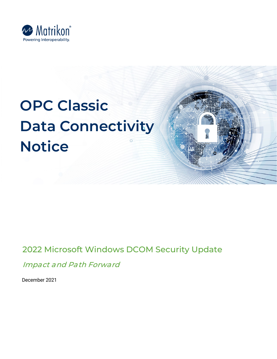

# **OPC Classic Data Connectivity Notice**

# 2022 Microsoft Windows DCOM Security Update

Impact and Path Forward

December 2021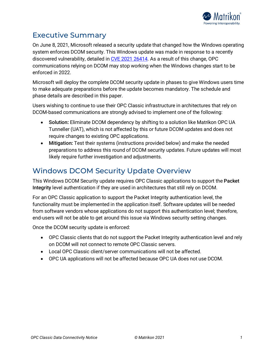

## Executive Summary

On June 8, 2021, Microsoft released a security update that changed how the Windows operating system enforces DCOM security. This Windows update was made in response to a recently discovered vulnerability, detailed in [CVE 2021 26414.](https://msrc.microsoft.com/update-guide/vulnerability/CVE-2021-26414) As a result of this change, OPC communications relying on DCOM may stop working when the Windows changes start to be enforced in 2022.

Microsoft will deploy the complete DCOM security update in phases to give Windows users time to make adequate preparations before the update becomes mandatory. The schedule and phase details are described in this paper.

Users wishing to continue to use their OPC Classic infrastructure in architectures that rely on DCOM-based communications are strongly advised to implement one of the following:

- Solution**:** Eliminate DCOM dependency by shifting to a solution like Matrikon OPC UA Tunneller (UAT), which is not affected by this or future DCOM updates and does not require changes to existing OPC applications.
- Mitigation**:** Test their systems (instructions provided below) and make the needed preparations to address this round of DCOM security updates. Future updates will most likely require further investigation and adjustments.

# Windows DCOM Security Update Overview

This Windows DCOM Security update requires OPC Classic applications to support the Packet Integrity level authentication if they are used in architectures that still rely on DCOM.

For an OPC Classic application to support the Packet Integrity authentication level, the functionality must be implemented in the application itself. Software updates will be needed from software vendors whose applications do not support this authentication level; therefore, end-users will not be able to get around this issue via Windows security setting changes.

Once the DCOM security update is enforced:

- OPC Classic clients that do not support the Packet Integrity authentication level and rely on DCOM will not connect to remote OPC Classic servers.
- Local OPC Classic client/server communications will not be affected.
- OPC UA applications will not be affected because OPC UA does not use DCOM.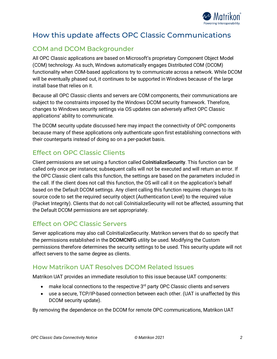

# How this update affects OPC Classic Communications

## COM and DCOM Backgrounder

All OPC Classic applications are based on Microsoft's proprietary Component Object Model (COM) technology. As such, Windows automatically engages Distributed COM (DCOM) functionality when COM-based applications try to communicate across a network. While DCOM will be eventually phased out, it continues to be supported in Windows because of the large install base that relies on it.

Because all OPC Classic clients and servers are COM components, their communications are subject to the constraints imposed by the Windows DCOM security framework. Therefore, changes to Windows security settings via OS updates can adversely affect OPC Classic applications' ability to communicate.

The DCOM security update discussed here may impact the connectivity of OPC components because many of these applications only authenticate upon first establishing connections with their counterparts instead of doing so on a per-packet basis.

#### Effect on OPC Classic Clients

Client permissions are set using a function called CoInitializeSecurity. This function can be called only once per instance; subsequent calls will not be executed and will return an error. If the OPC Classic client calls this function, the settings are based on the parameters included in the call. If the client does not call this function, the OS will call it on the application's behalf based on the Default DCOM settings. Any client calling this function requires changes to its source code to set the required security object (Authentication Level) to the required value (Packet Integrity). Clients that do not call CoInitializeSecurity will not be affected, assuming that the Default DCOM permissions are set appropriately.

#### Effect on OPC Classic Servers

Server applications may also call CoInitializeSecurity. Matrikon servers that do so specify that the permissions established in the DCOMCNFG utility be used. Modifying the Custom permissions therefore determines the security settings to be used. This security update will not affect servers to the same degree as clients.

#### How Matrikon UAT Resolves DCOM Related Issues

Matrikon UAT provides an immediate resolution to this issue because UAT components:

- $\bullet$  make local connections to the respective  $3^{rd}$  party OPC Classic clients and servers
- use a secure, TCP/IP-based connection between each other. (UAT is unaffected by this DCOM security update).

By removing the dependence on the DCOM for remote OPC communications, Matrikon UAT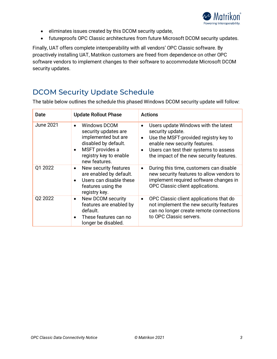

- eliminates issues created by this DCOM security update,
- futureproofs OPC Classic architectures from future Microsoft DCOM security updates.

Finally, UAT offers complete interoperability with all vendors' OPC Classic software. By proactively installing UAT, Matrikon customers are freed from dependence on other OPC software vendors to implement changes to their software to accommodate Microsoft DCOM security updates.

# DCOM Security Update Schedule

The table below outlines the schedule this phased Windows DCOM security update will follow:

| Date             | <b>Update Rollout Phase</b>                                                                                                                              | <b>Actions</b>                                                                                                                                                                                                           |
|------------------|----------------------------------------------------------------------------------------------------------------------------------------------------------|--------------------------------------------------------------------------------------------------------------------------------------------------------------------------------------------------------------------------|
| <b>June 2021</b> | <b>Windows DCOM</b><br>security updates are<br>implemented but are<br>disabled by default.<br>MSFT provides a<br>registry key to enable<br>new features. | Users update Windows with the latest<br>security update.<br>Use the MSFT-provided registry key to<br>enable new security features.<br>Users can test their systems to assess<br>the impact of the new security features. |
| Q1 2022          | New security features<br>are enabled by default.<br>Users can disable these<br>features using the<br>registry key.                                       | During this time, customers can disable<br>new security features to allow vendors to<br>implement required software changes in<br>OPC Classic client applications.                                                       |
| Q2 2022          | New DCOM security<br>features are enabled by<br>default.<br>These features can no<br>longer be disabled.                                                 | OPC Classic client applications that do<br>not implement the new security features<br>can no longer create remote connections<br>to OPC Classic servers.                                                                 |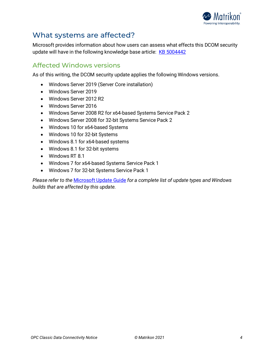

## What systems are affected?

Microsoft provides information about how users can assess what effects this DCOM security update will have in the following knowledge base article: [KB 5004442](https://support.microsoft.com/en-us/topic/kb5004442-manage-changes-for-windows-dcom-server-security-feature-bypass-cve-2021-26414-f1400b52-c141-43d2-941e-37ed901c769c)

#### Affected Windows versions

As of this writing, the DCOM security update applies the following Windows versions.

- Windows Server 2019 (Server Core installation)
- Windows Server 2019
- Windows Server 2012 R2
- Windows Server 2016
- Windows Server 2008 R2 for x64-based Systems Service Pack 2
- Windows Server 2008 for 32-bit Systems Service Pack 2
- Windows 10 for x64-based Systems
- Windows 10 for 32-bit Systems
- Windows 8.1 for x64-based systems
- Windows 8.1 for 32-bit systems
- Windows RT 8.1
- Windows 7 for x64-based Systems Service Pack 1
- Windows 7 for 32-bit Systems Service Pack 1

*Please refer to the* [Microsoft Update Guide](https://msrc.microsoft.com/update-guide/) *for a complete list of update types and Windows builds that are affected by this update.*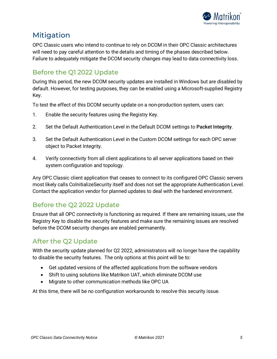

## Mitigation

OPC Classic users who intend to continue to rely on DCOM in their OPC Classic architectures will need to pay careful attention to the details and timing of the phases described below. Failure to adequately mitigate the DCOM security changes may lead to data connectivity loss.

#### Before the Q1 2022 Update

During this period, the new DCOM security updates are installed in Windows but are disabled by default. However, for testing purposes, they can be enabled using a Microsoft-supplied Registry Key.

To test the effect of this DCOM security update on a non-production system, users can:

- 1. Enable the security features using the Registry Key.
- 2. Set the Default Authentication Level in the Default DCOM settings to Packet Integrity.
- 3. Set the Default Authentication Level in the Custom DCOM settings for each OPC server object to Packet Integrity.
- 4. Verify connectivity from all client applications to all server applications based on their system configuration and topology.

Any OPC Classic client application that ceases to connect to its configured OPC Classic servers most likely calls CoInitializeSecurity itself and does not set the appropriate Authentication Level. Contact the application vendor for planned updates to deal with the hardened environment.

#### Before the Q2 2022 Update

Ensure that all OPC connectivity is functioning as required. If there are remaining issues, use the Registry Key to disable the security features and make sure the remaining issues are resolved before the DCOM security changes are enabled permanently.

## After the Q2 Update

With the security update planned for Q2 2022, administrators will no longer have the capability to disable the security features. The only options at this point will be to:

- Get updated versions of the affected applications from the software vendors
- Shift to using solutions like Matrikon UAT, which eliminate DCOM use
- Migrate to other communication methods like OPC UA

At this time, there will be no configuration workarounds to resolve this security issue.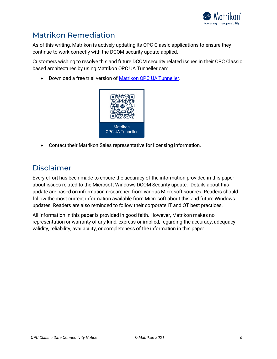

# Matrikon Remediation

As of this writing, Matrikon is actively updating its OPC Classic applications to ensure they continue to work correctly with the DCOM security update applied.

Customers wishing to resolve this and future DCOM security related issues in their OPC Classic based architectures by using Matrikon OPC UA Tunneller can:

• Download a free trial version of [Matrikon OPC UA Tunneller.](https://www.matrikonopc.com/opc-ua/products/opc-ua-tunneller.aspx?utm_campaign=QuarterlyReleases&utm_medium=email&utm_source=MTK&utm_content=UAT&utm_term=global)



• Contact their Matrikon Sales representative for licensing information.

## Disclaimer

Every effort has been made to ensure the accuracy of the information provided in this paper about issues related to the Microsoft Windows DCOM Security update. Details about this update are based on information researched from various Microsoft sources. Readers should follow the most current information available from Microsoft about this and future Windows updates. Readers are also reminded to follow their corporate IT and OT best practices.

All information in this paper is provided in good faith. However, Matrikon makes no representation or warranty of any kind, express or implied, regarding the accuracy, adequacy, validity, reliability, availability, or completeness of the information in this paper.